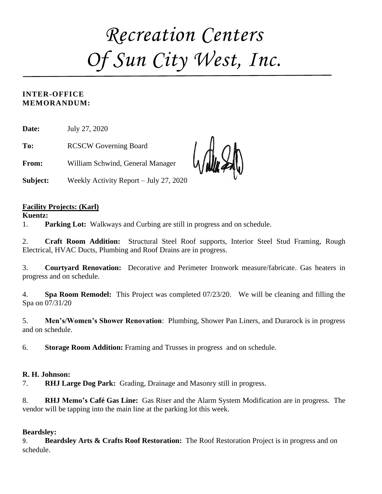# *Recreation Centers Of Sun City West, Inc.*

#### **INTER-OFFICE MEMORANDUM:**

**Date:** July 27, 2020

**To:** RCSCW Governing Board

**From:** William Schwind, General Manager

**Subject:** Weekly Activity Report – July 27, 2020

#### **Facility Projects: (Karl)**

#### **Kuentz:**

1. **Parking Lot:** Walkways and Curbing are still in progress and on schedule.

2. **Craft Room Addition:** Structural Steel Roof supports, Interior Steel Stud Framing, Rough Electrical, HVAC Ducts, Plumbing and Roof Drains are in progress.

3. **Courtyard Renovation:** Decorative and Perimeter Ironwork measure/fabricate. Gas heaters in progress and on schedule.

4. **Spa Room Remodel:** This Project was completed 07/23/20. We will be cleaning and filling the Spa on 07/31/20

5. **Men's/Women's Shower Renovation**: Plumbing, Shower Pan Liners, and Durarock is in progress and on schedule.

6. **Storage Room Addition:** Framing and Trusses in progress and on schedule.

#### **R. H. Johnson:**

7. **RHJ Large Dog Park:** Grading, Drainage and Masonry still in progress.

8. **RHJ Memo's Café Gas Line:** Gas Riser and the Alarm System Modification are in progress. The vendor will be tapping into the main line at the parking lot this week.

#### **Beardsley:**

9. **Beardsley Arts & Crafts Roof Restoration:** The Roof Restoration Project is in progress and on schedule.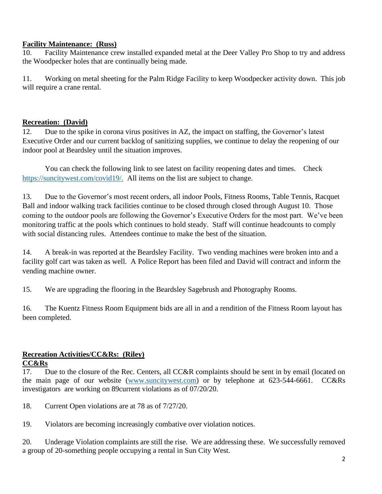#### **Facility Maintenance: (Russ)**

10. Facility Maintenance crew installed expanded metal at the Deer Valley Pro Shop to try and address the Woodpecker holes that are continually being made.

11. Working on metal sheeting for the Palm Ridge Facility to keep Woodpecker activity down. This job will require a crane rental.

#### **Recreation: (David)**

12. Due to the spike in corona virus positives in AZ, the impact on staffing, the Governor's latest Executive Order and our current backlog of sanitizing supplies, we continue to delay the reopening of our indoor pool at Beardsley until the situation improves.

You can check the following link to see latest on facility reopening dates and times. Check [https://suncitywest.com/covid19/.](https://suncitywest.com/covid19/) All items on the list are subject to change.

13. Due to the Governor's most recent orders, all indoor Pools, Fitness Rooms, Table Tennis, Racquet Ball and indoor walking track facilities continue to be closed through closed through August 10. Those coming to the outdoor pools are following the Governor's Executive Orders for the most part. We've been monitoring traffic at the pools which continues to hold steady. Staff will continue headcounts to comply with social distancing rules. Attendees continue to make the best of the situation.

14. A break-in was reported at the Beardsley Facility. Two vending machines were broken into and a facility golf cart was taken as well. A Police Report has been filed and David will contract and inform the vending machine owner.

15. We are upgrading the flooring in the Beardsley Sagebrush and Photography Rooms.

16. The Kuentz Fitness Room Equipment bids are all in and a rendition of the Fitness Room layout has been completed.

#### **Recreation Activities/CC&Rs: (Riley) CC&Rs**

17. Due to the closure of the Rec. Centers, all CC&R complaints should be sent in by email (located on the main page of our website [\(www.suncitywest.com\)](http://www.suncitywest.com/) or by telephone at 623-544-6661. CC&Rs investigators are working on 89current violations as of 07/20/20.

18. Current Open violations are at 78 as of 7/27/20.

19. Violators are becoming increasingly combative over violation notices.

20. Underage Violation complaints are still the rise. We are addressing these. We successfully removed a group of 20-something people occupying a rental in Sun City West.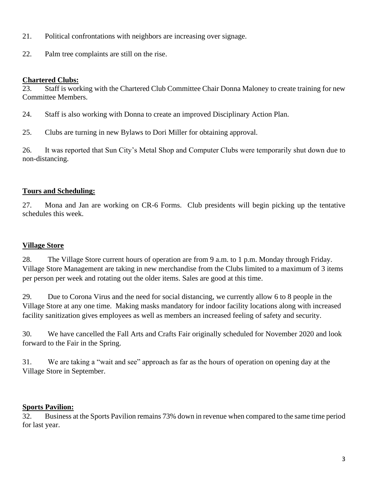- 21. Political confrontations with neighbors are increasing over signage.
- 22. Palm tree complaints are still on the rise.

#### **Chartered Clubs:**

23. Staff is working with the Chartered Club Committee Chair Donna Maloney to create training for new Committee Members.

- 24. Staff is also working with Donna to create an improved Disciplinary Action Plan.
- 25. Clubs are turning in new Bylaws to Dori Miller for obtaining approval.

26. It was reported that Sun City's Metal Shop and Computer Clubs were temporarily shut down due to non-distancing.

#### **Tours and Scheduling:**

27. Mona and Jan are working on CR-6 Forms. Club presidents will begin picking up the tentative schedules this week.

#### **Village Store**

28. The Village Store current hours of operation are from 9 a.m. to 1 p.m. Monday through Friday. Village Store Management are taking in new merchandise from the Clubs limited to a maximum of 3 items per person per week and rotating out the older items. Sales are good at this time.

29. Due to Corona Virus and the need for social distancing, we currently allow 6 to 8 people in the Village Store at any one time. Making masks mandatory for indoor facility locations along with increased facility sanitization gives employees as well as members an increased feeling of safety and security.

30. We have cancelled the Fall Arts and Crafts Fair originally scheduled for November 2020 and look forward to the Fair in the Spring.

31. We are taking a "wait and see" approach as far as the hours of operation on opening day at the Village Store in September.

#### **Sports Pavilion:**

32. Business at the Sports Pavilion remains 73% down in revenue when compared to the same time period for last year.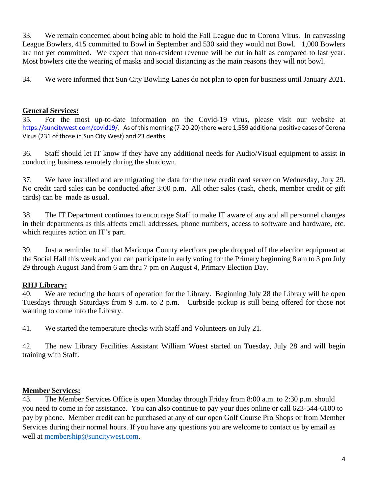33. We remain concerned about being able to hold the Fall League due to Corona Virus. In canvassing League Bowlers, 415 committed to Bowl in September and 530 said they would not Bowl. 1,000 Bowlers are not yet committed. We expect that non-resident revenue will be cut in half as compared to last year. Most bowlers cite the wearing of masks and social distancing as the main reasons they will not bowl.

34. We were informed that Sun City Bowling Lanes do not plan to open for business until January 2021.

#### **General Services:**

35. For the most up-to-date information on the Covid-19 virus, please visit our website at [https://suncitywest.com/covid19/.](https://suncitywest.com/covid19/) As of this morning (7-20-20) there were 1,559 additional positive cases of Corona Virus (231 of those in Sun City West) and 23 deaths.

36. Staff should let IT know if they have any additional needs for Audio/Visual equipment to assist in conducting business remotely during the shutdown.

37. We have installed and are migrating the data for the new credit card server on Wednesday, July 29. No credit card sales can be conducted after 3:00 p.m. All other sales (cash, check, member credit or gift cards) can be made as usual.

38. The IT Department continues to encourage Staff to make IT aware of any and all personnel changes in their departments as this affects email addresses, phone numbers, access to software and hardware, etc. which requires action on IT's part.

39. Just a reminder to all that Maricopa County elections people dropped off the election equipment at the Social Hall this week and you can participate in early voting for the Primary beginning 8 am to 3 pm July 29 through August 3and from 6 am thru 7 pm on August 4, Primary Election Day.

#### **RHJ Library:**

40. We are reducing the hours of operation for the Library. Beginning July 28 the Library will be open Tuesdays through Saturdays from 9 a.m. to 2 p.m. Curbside pickup is still being offered for those not wanting to come into the Library.

41. We started the temperature checks with Staff and Volunteers on July 21.

42. The new Library Facilities Assistant William Wuest started on Tuesday, July 28 and will begin training with Staff.

#### **Member Services:**

43. The Member Services Office is open Monday through Friday from 8:00 a.m. to 2:30 p.m. should you need to come in for assistance. You can also continue to pay your dues online or call 623-544-6100 to pay by phone. Member credit can be purchased at any of our open Golf Course Pro Shops or from Member Services during their normal hours. If you have any questions you are welcome to contact us by email as well at [membership@suncitywest.com.](mailto:membership@suncitywest.com)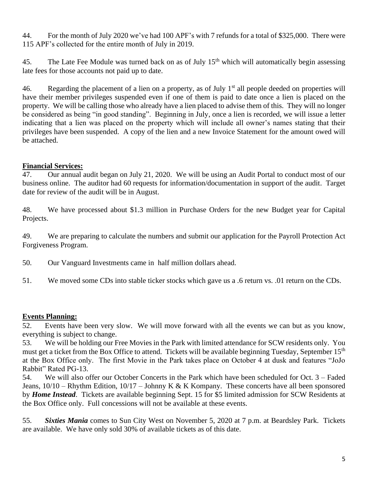44. For the month of July 2020 we've had 100 APF's with 7 refunds for a total of \$325,000. There were 115 APF's collected for the entire month of July in 2019.

45. The Late Fee Module was turned back on as of July  $15<sup>th</sup>$  which will automatically begin assessing late fees for those accounts not paid up to date.

46. Regarding the placement of a lien on a property, as of July  $1<sup>st</sup>$  all people deeded on properties will have their member privileges suspended even if one of them is paid to date once a lien is placed on the property. We will be calling those who already have a lien placed to advise them of this. They will no longer be considered as being "in good standing". Beginning in July, once a lien is recorded, we will issue a letter indicating that a lien was placed on the property which will include all owner's names stating that their privileges have been suspended. A copy of the lien and a new Invoice Statement for the amount owed will be attached.

#### **Financial Services:**

47. Our annual audit began on July 21, 2020. We will be using an Audit Portal to conduct most of our business online. The auditor had 60 requests for information/documentation in support of the audit. Target date for review of the audit will be in August.

48. We have processed about \$1.3 million in Purchase Orders for the new Budget year for Capital Projects.

49. We are preparing to calculate the numbers and submit our application for the Payroll Protection Act Forgiveness Program.

- 50. Our Vanguard Investments came in half million dollars ahead.
- 51. We moved some CDs into stable ticker stocks which gave us a .6 return vs. .01 return on the CDs.

#### **Events Planning:**

52. Events have been very slow. We will move forward with all the events we can but as you know, everything is subject to change.

53. We will be holding our Free Movies in the Park with limited attendance for SCW residents only. You must get a ticket from the Box Office to attend. Tickets will be available beginning Tuesday, September 15<sup>th</sup> at the Box Office only. The first Movie in the Park takes place on October 4 at dusk and features "JoJo Rabbit" Rated PG-13.

54. We will also offer our October Concerts in the Park which have been scheduled for Oct. 3 – Faded Jeans,  $10/10$  – Rhythm Edition,  $10/17$  – Johnny K & K Kompany. These concerts have all been sponsored by *Home Instead*. Tickets are available beginning Sept. 15 for \$5 limited admission for SCW Residents at the Box Office only. Full concessions will not be available at these events.

55. *Sixties Mania* comes to Sun City West on November 5, 2020 at 7 p.m. at Beardsley Park. Tickets are available. We have only sold 30% of available tickets as of this date.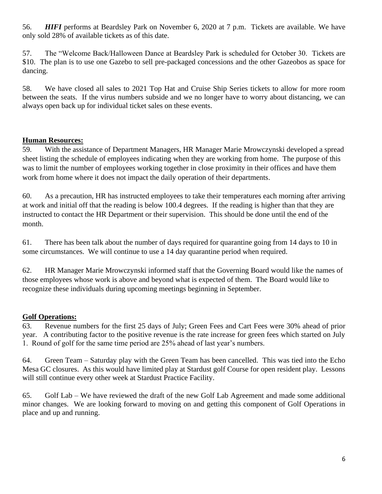56. *HIFI* performs at Beardsley Park on November 6, 2020 at 7 p.m. Tickets are available. We have only sold 28% of available tickets as of this date.

57. The "Welcome Back/Halloween Dance at Beardsley Park is scheduled for October 30. Tickets are \$10. The plan is to use one Gazebo to sell pre-packaged concessions and the other Gazeobos as space for dancing.

58. We have closed all sales to 2021 Top Hat and Cruise Ship Series tickets to allow for more room between the seats. If the virus numbers subside and we no longer have to worry about distancing, we can always open back up for individual ticket sales on these events.

#### **Human Resources:**

59. With the assistance of Department Managers, HR Manager Marie Mrowczynski developed a spread sheet listing the schedule of employees indicating when they are working from home. The purpose of this was to limit the number of employees working together in close proximity in their offices and have them work from home where it does not impact the daily operation of their departments.

60. As a precaution, HR has instructed employees to take their temperatures each morning after arriving at work and initial off that the reading is below 100.4 degrees. If the reading is higher than that they are instructed to contact the HR Department or their supervision. This should be done until the end of the month.

61. There has been talk about the number of days required for quarantine going from 14 days to 10 in some circumstances. We will continue to use a 14 day quarantine period when required.

62. HR Manager Marie Mrowczynski informed staff that the Governing Board would like the names of those employees whose work is above and beyond what is expected of them. The Board would like to recognize these individuals during upcoming meetings beginning in September.

#### **Golf Operations:**

63. Revenue numbers for the first 25 days of July; Green Fees and Cart Fees were 30% ahead of prior year. A contributing factor to the positive revenue is the rate increase for green fees which started on July 1. Round of golf for the same time period are 25% ahead of last year's numbers.

64. Green Team – Saturday play with the Green Team has been cancelled. This was tied into the Echo Mesa GC closures. As this would have limited play at Stardust golf Course for open resident play. Lessons will still continue every other week at Stardust Practice Facility.

65. Golf Lab – We have reviewed the draft of the new Golf Lab Agreement and made some additional minor changes. We are looking forward to moving on and getting this component of Golf Operations in place and up and running.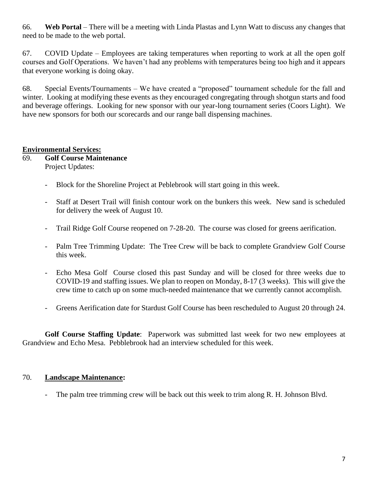66. **Web Portal** – There will be a meeting with Linda Plastas and Lynn Watt to discuss any changes that need to be made to the web portal.

67. COVID Update – Employees are taking temperatures when reporting to work at all the open golf courses and Golf Operations. We haven't had any problems with temperatures being too high and it appears that everyone working is doing okay.

68. Special Events/Tournaments – We have created a "proposed" tournament schedule for the fall and winter. Looking at modifying these events as they encouraged congregating through shotgun starts and food and beverage offerings. Looking for new sponsor with our year-long tournament series (Coors Light). We have new sponsors for both our scorecards and our range ball dispensing machines.

#### **Environmental Services:**

#### 69. **Golf Course Maintenance** Project Updates:

- Block for the Shoreline Project at Peblebrook will start going in this week.
- Staff at Desert Trail will finish contour work on the bunkers this week. New sand is scheduled for delivery the week of August 10.
- Trail Ridge Golf Course reopened on 7-28-20. The course was closed for greens aerification.
- Palm Tree Trimming Update: The Tree Crew will be back to complete Grandview Golf Course this week.
- Echo Mesa Golf Course closed this past Sunday and will be closed for three weeks due to COVID-19 and staffing issues. We plan to reopen on Monday, 8-17 (3 weeks). This will give the crew time to catch up on some much-needed maintenance that we currently cannot accomplish.
- Greens Aerification date for Stardust Golf Course has been rescheduled to August 20 through 24.

**Golf Course Staffing Update**: Paperwork was submitted last week for two new employees at Grandview and Echo Mesa. Pebblebrook had an interview scheduled for this week.

#### 70. **Landscape Maintenance:**

The palm tree trimming crew will be back out this week to trim along R. H. Johnson Blvd.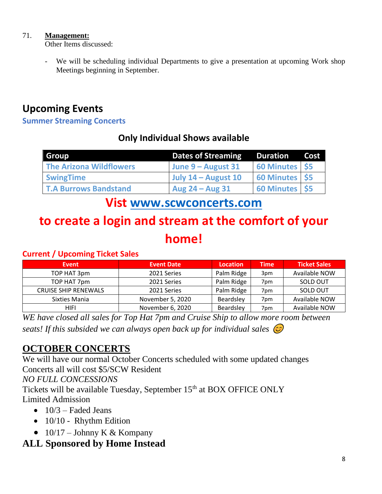#### 71. **Management:**

Other Items discussed:

We will be scheduling individual Departments to give a presentation at upcoming Work shop Meetings beginning in September.

# **Upcoming Events**

#### **Summer Streaming Concerts**

## **Only Individual Shows available**

| Group                          | <b>Dates of Streaming</b> | Duration R       | Cost |
|--------------------------------|---------------------------|------------------|------|
| <b>The Arizona Wildflowers</b> | June 9 – August 31        | 60 Minutes \$5   |      |
| <b>SwingTime</b>               | July $14 -$ August 10     | 60 Minutes \$5   |      |
| <b>T.A Burrows Bandstand</b>   | Aug $24 - Aug$ 31         | 60 Minutes   \$5 |      |

## **Vist [www.scwconcerts.com](http://www.scwconcerts.com/)**

# **to create a login and stream at the comfort of your home!**

#### **Current / Upcoming Ticket Sales**

| <b>Event</b>                | <b>Event Date</b> | <b>Location</b> | <b>Time</b> | <b>Ticket Sales</b> |
|-----------------------------|-------------------|-----------------|-------------|---------------------|
| TOP HAT 3pm                 | 2021 Series       | Palm Ridge      | 3pm         | Available NOW       |
| TOP HAT 7pm                 | 2021 Series       | Palm Ridge      | 7pm         | SOLD OUT            |
| <b>CRUISE SHIP RENEWALS</b> | 2021 Series       | Palm Ridge      | 7pm         | SOLD OUT            |
| Sixties Mania               | November 5, 2020  | Beardsley       | 7pm         | Available NOW       |
| HIFI                        | November 6, 2020  | Beardsley       | 7pm         | Available NOW       |

*WE have closed all sales for Top Hat 7pm and Cruise Ship to allow more room between seats! If this subsided we can always open back up for individual sales* 

## **OCTOBER CONCERTS**

We will have our normal October Concerts scheduled with some updated changes Concerts all will cost \$5/SCW Resident *NO FULL CONCESSIONS*

Tickets will be available Tuesday, September 15<sup>th</sup> at BOX OFFICE ONLY Limited Admission

- $\bullet$  10/3 Faded Jeans
- 10/10 Rhythm Edition
- $10/17$  Johnny K & Kompany

## **ALL Sponsored by Home Instead**